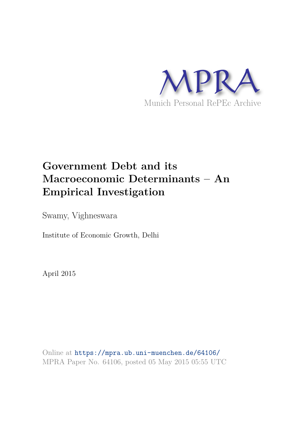

# **Government Debt and its Macroeconomic Determinants – An Empirical Investigation**

Swamy, Vighneswara

Institute of Economic Growth, Delhi

April 2015

Online at https://mpra.ub.uni-muenchen.de/64106/ MPRA Paper No. 64106, posted 05 May 2015 05:55 UTC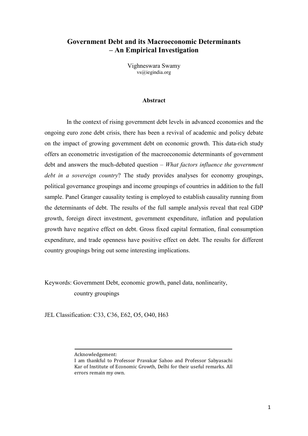# **Government Debt and its Macroeconomic Determinants – An Empirical Investigation**

Vighneswara Swamy vs@iegindia.org

#### **Abstract**

 In the context of rising government debt levels in advanced economies and the ongoing euro zone debt crisis, there has been a revival of academic and policy debate on the impact of growing government debt on economic growth. This data-rich study offers an econometric investigation of the macroeconomic determinants of government debt and answers the much-debated question – *What factors influence the government debt in a sovereign country*? The study provides analyses for economy groupings, political governance groupings and income groupings of countries in addition to the full sample. Panel Granger causality testing is employed to establish causality running from the determinants of debt. The results of the full sample analysis reveal that real GDP growth, foreign direct investment, government expenditure, inflation and population growth have negative effect on debt. Gross fixed capital formation, final consumption expenditure, and trade openness have positive effect on debt. The results for different country groupings bring out some interesting implications.

Keywords: Government Debt, economic growth, panel data, nonlinearity, country groupings

JEL Classification: C33, C36, E62, O5, O40, H63

Acknowledgement:

I am thankful to Professor Pravakar Sahoo and Professor Sabyasachi Kar of Institute of Economic Growth, Delhi for their useful remarks. All errors remain my own.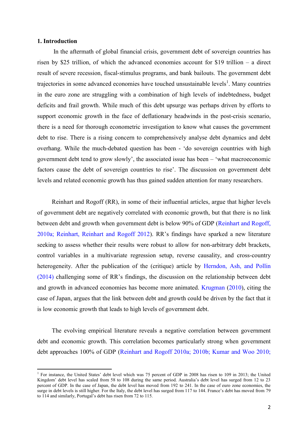### **1. Introduction**

-

 In the aftermath of global financial crisis, government debt of sovereign countries has risen by \$25 trillion, of which the advanced economies account for \$19 trillion – a direct result of severe recession, fiscal-stimulus programs, and bank bailouts. The government debt trajectories in some advanced economies have touched unsustainable levels<sup>1</sup>. Many countries in the euro zone are struggling with a combination of high levels of indebtedness, budget deficits and frail growth. While much of this debt upsurge was perhaps driven by efforts to support economic growth in the face of deflationary headwinds in the post-crisis scenario, there is a need for thorough econometric investigation to know what causes the government debt to rise. There is a rising concern to comprehensively analyse debt dynamics and debt overhang. While the much-debated question has been - 'do sovereign countries with high government debt tend to grow slowly', the associated issue has been – 'what macroeconomic factors cause the debt of sovereign countries to rise'. The discussion on government debt levels and related economic growth has thus gained sudden attention for many researchers.

 Reinhart and Rogoff (RR), in some of their influential articles, argue that higher levels of government debt are negatively correlated with economic growth, but that there is no link between debt and growth when government debt is below 90% of GDP (Reinhart and Rogoff, 2010a; Reinhart, Reinhart and Rogoff 2012). RR's findings have sparked a new literature seeking to assess whether their results were robust to allow for non-arbitrary debt brackets, control variables in a multivariate regression setup, reverse causality, and cross-country heterogeneity. After the publication of the (critique) article by Herndon, Ash, and Pollin (2014) challenging some of RR's findings, the discussion on the relationship between debt and growth in advanced economies has become more animated. Krugman (2010), citing the case of Japan, argues that the link between debt and growth could be driven by the fact that it is low economic growth that leads to high levels of government debt.

 The evolving empirical literature reveals a negative correlation between government debt and economic growth. This correlation becomes particularly strong when government debt approaches 100% of GDP (Reinhart and Rogoff 2010a; 2010b; Kumar and Woo 2010;

<sup>1</sup> For instance, the United States' debt level which was 75 percent of GDP in 2008 has risen to 109 in 2013; the United Kingdom' debt level has scaled from 58 to 108 during the same period. Australia's debt level has surged from 12 to 23 percent of GDP. In the case of Japan, the debt level has moved from 192 to 241. In the case of euro zone economies, the surge in debt levels is still higher. For the Italy, the debt level has surged from 117 to 144. France's debt has moved from 79 to 114 and similarly, Portugal's debt has risen from 72 to 115.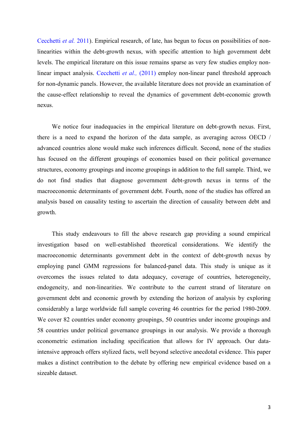Cecchetti *et al.* 2011). Empirical research, of late, has begun to focus on possibilities of nonlinearities within the debt-growth nexus, with specific attention to high government debt levels. The empirical literature on this issue remains sparse as very few studies employ nonlinear impact analysis. Cecchetti *et al.,* (2011) employ non-linear panel threshold approach for non-dynamic panels. However, the available literature does not provide an examination of the cause-effect relationship to reveal the dynamics of government debt-economic growth nexus.

 We notice four inadequacies in the empirical literature on debt-growth nexus. First, there is a need to expand the horizon of the data sample, as averaging across OECD / advanced countries alone would make such inferences difficult. Second, none of the studies has focused on the different groupings of economies based on their political governance structures, economy groupings and income groupings in addition to the full sample. Third, we do not find studies that diagnose government debt-growth nexus in terms of the macroeconomic determinants of government debt. Fourth, none of the studies has offered an analysis based on causality testing to ascertain the direction of causality between debt and growth.

 This study endeavours to fill the above research gap providing a sound empirical investigation based on well-established theoretical considerations. We identify the macroeconomic determinants government debt in the context of debt-growth nexus by employing panel GMM regressions for balanced-panel data. This study is unique as it overcomes the issues related to data adequacy, coverage of countries, heterogeneity, endogeneity, and non-linearities. We contribute to the current strand of literature on government debt and economic growth by extending the horizon of analysis by exploring considerably a large worldwide full sample covering 46 countries for the period 1980-2009. We cover 82 countries under economy groupings, 50 countries under income groupings and 58 countries under political governance groupings in our analysis. We provide a thorough econometric estimation including specification that allows for IV approach. Our dataintensive approach offers stylized facts, well beyond selective anecdotal evidence. This paper makes a distinct contribution to the debate by offering new empirical evidence based on a sizeable dataset.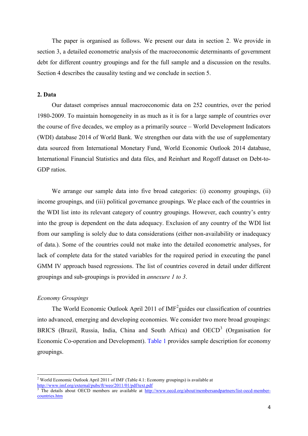The paper is organised as follows. We present our data in section 2. We provide in section 3, a detailed econometric analysis of the macroeconomic determinants of government debt for different country groupings and for the full sample and a discussion on the results. Section 4 describes the causality testing and we conclude in section 5.

# **2. Data**

 Our dataset comprises annual macroeconomic data on 252 countries, over the period 1980-2009. To maintain homogeneity in as much as it is for a large sample of countries over the course of five decades, we employ as a primarily source – World Development Indicators (WDI) database 2014 of World Bank. We strengthen our data with the use of supplementary data sourced from International Monetary Fund, World Economic Outlook 2014 database, International Financial Statistics and data files, and Reinhart and Rogoff dataset on Debt-to-GDP ratios.

 We arrange our sample data into five broad categories: (i) economy groupings, (ii) income groupings, and (iii) political governance groupings. We place each of the countries in the WDI list into its relevant category of country groupings. However, each country's entry into the group is dependent on the data adequacy. Exclusion of any country of the WDI list from our sampling is solely due to data considerations (either non-availability or inadequacy of data.). Some of the countries could not make into the detailed econometric analyses, for lack of complete data for the stated variables for the required period in executing the panel GMM IV approach based regressions. The list of countries covered in detail under different groupings and sub-groupings is provided in *annexure 1 to 3*.

## *Economy Groupings*

The World Economic Outlook April 2011 of  $IMF<sup>2</sup>$ guides our classification of countries into advanced, emerging and developing economies. We consider two more broad groupings: BRICS (Brazil, Russia, India, China and South Africa) and OECD<sup>3</sup> (Organisation for Economic Co-operation and Development). Table 1 provides sample description for economy groupings.

 2 World Economic Outlook April 2011 of IMF (Table 4.1: Economy groupings) is available at <http://www.imf.org/external/pubs/ft/weo/2011/01/pdf/text.pdf>

<sup>3</sup> The details about OECD members are available at [http://www.oecd.org/about/membersandpartners/list-oecd-member](http://www.oecd.org/about/membersandpartners/list-oecd-member-countries.htm)[countries.htm](http://www.oecd.org/about/membersandpartners/list-oecd-member-countries.htm)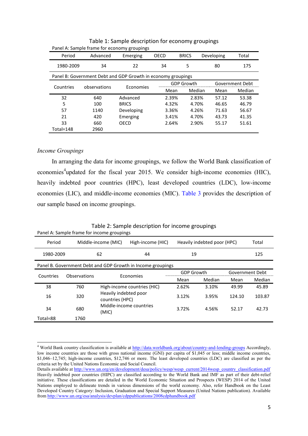|           | <b>I and A. Sample manic for economy groupings</b>           |              |             |                   |                |                 |  |  |  |  |
|-----------|--------------------------------------------------------------|--------------|-------------|-------------------|----------------|-----------------|--|--|--|--|
| Period    | Advanced                                                     | Emerging     | <b>OECD</b> | <b>BRICS</b>      | Developing     | Total           |  |  |  |  |
| 1980-2009 | 34                                                           | 22           | 34          | 5<br>80           |                | 175             |  |  |  |  |
|           | Panel B: Government Debt and GDP Growth in economy groupings |              |             |                   |                |                 |  |  |  |  |
| Countries | observations                                                 |              |             | <b>GDP Growth</b> |                | Government Debt |  |  |  |  |
|           |                                                              | Economies    | Mean        |                   | Median<br>Mean | Median          |  |  |  |  |
| 32        | 640                                                          | Advanced     | 2.39%       |                   | 2.83%<br>57.12 | 53.38           |  |  |  |  |
| 5         | 100                                                          | <b>BRICS</b> | 4.32%       |                   | 4.70%<br>46.65 | 46.79           |  |  |  |  |
| 57        | 1140                                                         | Developing   | 3.36%       |                   | 4.26%<br>71.63 | 56.67           |  |  |  |  |
| 21        | 420                                                          | Emerging     | 3.41%       |                   | 4.70%<br>43.73 | 41.35           |  |  |  |  |
| 33        | 660                                                          | <b>OECD</b>  | 2.64%       |                   | 2.90%<br>55.17 | 51.61           |  |  |  |  |
| Total=148 | 2960                                                         |              |             |                   |                |                 |  |  |  |  |

Table 1: Sample description for economy groupings Panel A: Sample frame for economy groupings

# *Income Groupings*

 $\overline{a}$ 

 In arranging the data for income groupings, we follow the World Bank classification of economies<sup>4</sup>updated for the fiscal year 2015. We consider high-income economies (HIC), heavily indebted poor countries (HPC), least developed countries (LDC), low-income economies (LIC), and middle-income economies (MIC). Table 3 provides the description of our sample based on income groupings.

|                                                             | Partel A. Sample manne for income groupings |                                          |                             |                   |                             |                 |        |  |
|-------------------------------------------------------------|---------------------------------------------|------------------------------------------|-----------------------------|-------------------|-----------------------------|-----------------|--------|--|
| Period                                                      | Middle-income (MIC)                         |                                          | High-income (HIC)           |                   | Heavily indebted poor (HPC) |                 | Total  |  |
| 1980-2009                                                   | 62                                          |                                          | 44                          | 19                |                             |                 | 125    |  |
| Panel B. Government Debt and GDP Growth in Income groupings |                                             |                                          |                             |                   |                             |                 |        |  |
|                                                             |                                             | Economies                                |                             | <b>GDP Growth</b> |                             | Government Debt |        |  |
| Countries                                                   | Observations                                |                                          |                             | Mean              | Median                      | Mean            | Median |  |
| 38                                                          | 760                                         |                                          | High-income countries (HIC) | 2.62%             | 3.10%                       | 49.99           | 45.89  |  |
| 16                                                          | 320                                         | Heavily indebted poor<br>countries (HPC) |                             | 3.12%             | 3.95%                       | 124.10          | 103.87 |  |
| 34                                                          | 680                                         | (MIC)                                    | Middle-income countries     |                   | 4.56%                       | 52.17           | 42.73  |  |
| Total=88                                                    | 1760                                        |                                          |                             |                   |                             |                 |        |  |

Table 2: Sample description for income groupings Panel A: Sample frame for income groupings

<sup>&</sup>lt;sup>4</sup> World Bank country classification is available at<http://data.worldbank.org/about/country-and-lending-groups>Accordingly, low income countries are those with gross national income (GNI) per capita of \$1,045 or less; middle income countries, \$1,046–12,745; high-income countries, \$12,746 or more. The least developed countries (LDC) are classified as per the criteria set by the United Nations Economic and Social Council.

Details available at [http://www.un.org/en/development/desa/policy/wesp/wesp\\_current/2014wesp\\_country\\_classification.pdf](http://www.un.org/en/development/desa/policy/wesp/wesp_current/2014wesp_country_classification.pdf) Heavily indebted poor countries (HIPC) are classified according to the World Bank and IMF as part of their debt-relief initiative. These classifications are detailed in the World Economic Situation and Prospects (WESP) 2014 of the United Nations employed to delineate trends in various dimensions of the world economy. Also, refer Handbook on the Least Developed Country Category: Inclusion, Graduation and Special Support Measures (United Nations publication). Available fro[m http://www.un.org/esa/analysis/devplan/cdppublications/2008cdphandbook.pdf](http://www.un.org/esa/analysis/devplan/cdppublications/2008cdphandbook.pdf)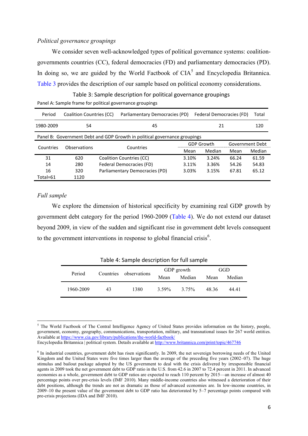# *Political governance groupings*

 We consider seven well-acknowledged types of political governance systems: coalitiongovernments countries (CC), federal democracies (FD) and parliamentary democracies (PD). In doing so, we are guided by the World Factbook of  $CIA<sup>5</sup>$  and Encyclopedia Britannica. Table 3 provides the description of our sample based on political economy considerations.

| Period                                                                    | Coalition Countries (CC) |  |                                | Parliamentary Democracies (PD) |                   |        | Federal Democracies (FD) |                 |  |  |
|---------------------------------------------------------------------------|--------------------------|--|--------------------------------|--------------------------------|-------------------|--------|--------------------------|-----------------|--|--|
| 1980-2009                                                                 | 54                       |  | 45                             |                                |                   |        | 21                       |                 |  |  |
| Panel B: Government Debt and GDP Growth in political governance groupings |                          |  |                                |                                |                   |        |                          |                 |  |  |
|                                                                           | Observations             |  |                                |                                | <b>GDP Growth</b> |        |                          | Government Debt |  |  |
| Countries                                                                 |                          |  | Countries                      | Mean                           |                   | Median | Mean                     | Median          |  |  |
| 31                                                                        | 620                      |  | Coalition Countries (CC)       |                                | 3.10%             | 3.24%  | 66.24                    | 61.59           |  |  |
| 14                                                                        | 280                      |  | Federal Democracies (FD)       |                                | 3.11%             | 3.36%  | 54.26                    | 54.83           |  |  |
| 16                                                                        | 320                      |  | Parliamentary Democracies (PD) |                                | 3.03%             | 3.15%  | 67.81                    | 65.12           |  |  |
| Total=61                                                                  | 1120                     |  |                                |                                |                   |        |                          |                 |  |  |

Table 3: Sample description for political governance groupings Panel A: Sample frame for political governance groupings

# *Full sample*

<u>.</u>

 We explore the dimension of historical specificity by examining real GDP growth by government debt category for the period 1960-2009 (Table 4). We do not extend our dataset beyond 2009, in view of the sudden and significant rise in government debt levels consequent to the government interventions in response to global financial crisis<sup>6</sup>.

| Table 4: Sample description for full sample |           |              |       |            |       |        |  |  |
|---------------------------------------------|-----------|--------------|-------|------------|-------|--------|--|--|
| Period                                      | Countries | observations |       | GDP growth | GGD   |        |  |  |
|                                             |           |              | Mean  | Median     | Mean  | Median |  |  |
| 1960-2009                                   | 43        | 1380         | 3.59% | 3.75%      | 48.36 | 44 41  |  |  |

Table 4: Sample description for full sample

<sup>&</sup>lt;sup>5</sup> The World Factbook of The Central Intelligence Agency of United States provides information on the history, people, government, economy, geography, communications, transportation, military, and transnational issues for 267 world entities. Available at<https://www.cia.gov/library/publications/the-world-factbook/>

Encyclopedia Britannica | political system. Details available a[t http://www.britannica.com/print/topic/467746](http://www.britannica.com/print/topic/467746) 

<sup>&</sup>lt;sup>6</sup> In industrial countries, government debt has risen significantly. In 2009, the net sovereign borrowing needs of the United Kingdom and the United States were five times larger than the average of the preceding five years (2002–07). The huge stimulus and bailout package adopted by the US government to deal with the crisis delivered by irresponsible financial agents in 2009 took the net government debt to GDP ratio in the U.S. from 42.6 in 2007 to 72.4 percent in 2011. In advanced economies as a whole, government debt to GDP ratios are expected to reach 110 percent by 2015—an increase of almost 40 percentage points over pre-crisis levels (IMF 2010). Many middle-income countries also witnessed a deterioration of their debt positions, although the trends are not as dramatic as those of advanced economies are. In low-income countries, in 2009–10 the present value of the government debt to GDP ratio has deteriorated by 5–7 percentage points compared with pre-crisis projections (IDA and IMF 2010).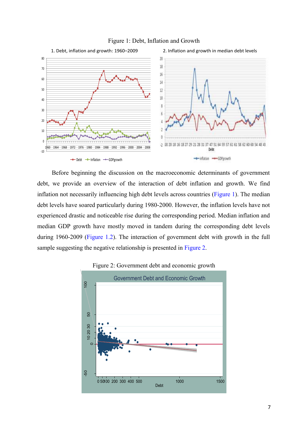

## Figure 1: Debt, Inflation and Growth

Before beginning the discussion on the macroeconomic determinants of government debt, we provide an overview of the interaction of debt inflation and growth. We find inflation not necessarily influencing high debt levels across countries (Figure 1). The median debt levels have soared particularly during 1980-2000. However, the inflation levels have not experienced drastic and noticeable rise during the corresponding period. Median inflation and median GDP growth have mostly moved in tandem during the corresponding debt levels during 1960-2009 (Figure 1.2). The interaction of government debt with growth in the full sample suggesting the negative relationship is presented in Figure 2.



Figure 2: Government debt and economic growth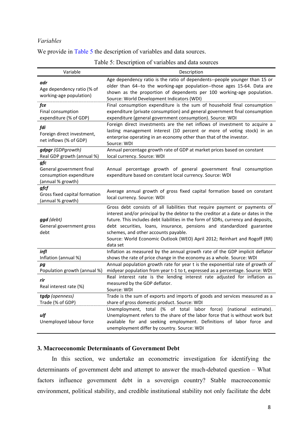# *Variables*

We provide in Table 5 the description of variables and data sources.

## Table 5: Description of variables and data sources

| Variable                                                                        | Description                                                                                                                                                                                                                                                                                                                                                                                                                                                      |
|---------------------------------------------------------------------------------|------------------------------------------------------------------------------------------------------------------------------------------------------------------------------------------------------------------------------------------------------------------------------------------------------------------------------------------------------------------------------------------------------------------------------------------------------------------|
| adr<br>Age dependency ratio (% of<br>working-age population)                    | Age dependency ratio is the ratio of dependents--people younger than 15 or<br>older than 64--to the working-age population--those ages 15-64. Data are<br>shown as the proportion of dependents per 100 working-age population.<br>Source: World Development Indicators (WDI)                                                                                                                                                                                    |
| fce<br>Final consumption<br>expenditure (% of GDP)                              | Final consumption expenditure is the sum of household final consumption<br>expenditure (private consumption) and general government final consumption<br>expenditure (general government consumption). Source: WDI                                                                                                                                                                                                                                               |
| fdi<br>Foreign direct investment,<br>net inflows (% of GDP)                     | Foreign direct investments are the net inflows of investment to acquire a<br>lasting management interest (10 percent or more of voting stock) in an<br>enterprise operating in an economy other than that of the investor.<br>Source: WDI                                                                                                                                                                                                                        |
| gdpgr (GDPgrowth)<br>Real GDP growth (annual %)                                 | Annual percentage growth rate of GDP at market prices based on constant<br>local currency. Source: WDI                                                                                                                                                                                                                                                                                                                                                           |
| gfc<br>General government final<br>consumption expenditure<br>(annual % growth) | Annual percentage growth of general government final consumption<br>expenditure based on constant local currency. Source: WDI                                                                                                                                                                                                                                                                                                                                    |
| gfcf<br>Gross fixed capital formation<br>(annual % growth)                      | Average annual growth of gross fixed capital formation based on constant<br>local currency. Source: WDI                                                                                                                                                                                                                                                                                                                                                          |
| ggd (debt)<br>General government gross<br>debt                                  | Gross debt consists of all liabilities that require payment or payments of<br>interest and/or principal by the debtor to the creditor at a date or dates in the<br>future. This includes debt liabilities in the form of SDRs, currency and deposits,<br>debt securities, loans, insurance, pensions and standardized guarantee<br>schemes, and other accounts payable.<br>Source: World Economic Outlook (WEO) April 2012; Reinhart and Rogoff (RR)<br>data set |
| infl<br>Inflation (annual %)                                                    | Inflation as measured by the annual growth rate of the GDP implicit deflator<br>shows the rate of price change in the economy as a whole. Source: WDI                                                                                                                                                                                                                                                                                                            |
| pg<br>Population growth (annual %)                                              | Annual population growth rate for year t is the exponential rate of growth of<br>midyear population from year t-1 to t, expressed as a percentage. Source: WDI                                                                                                                                                                                                                                                                                                   |
| rir<br>Real interest rate (%)                                                   | Real interest rate is the lending interest rate adjusted for inflation as<br>measured by the GDP deflator.<br>Source: WDI                                                                                                                                                                                                                                                                                                                                        |
| tgdp (openness)<br>Trade (% of GDP)                                             | Trade is the sum of exports and imports of goods and services measured as a<br>share of gross domestic product. Source: WDI                                                                                                                                                                                                                                                                                                                                      |
| ulf<br>Unemployed labour force                                                  | Unemployment, total (% of total labor force) (national estimate).<br>Unemployment refers to the share of the labor force that is without work but<br>available for and seeking employment. Definitions of labor force and<br>unemployment differ by country. Source: WDI                                                                                                                                                                                         |

# **3. Macroeconomic Determinants of Government Debt**

 In this section, we undertake an econometric investigation for identifying the determinants of government debt and attempt to answer the much-debated question – What factors influence government debt in a sovereign country? Stable macroeconomic environment, political stability, and credible institutional stability not only facilitate the debt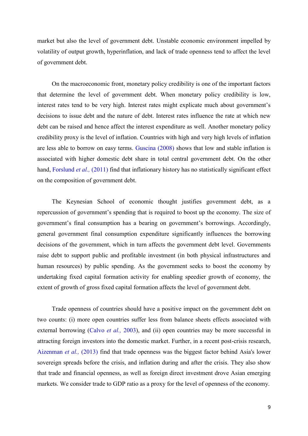market but also the level of government debt. Unstable economic environment impelled by volatility of output growth, hyperinflation, and lack of trade openness tend to affect the level of government debt.

 On the macroeconomic front, monetary policy credibility is one of the important factors that determine the level of government debt. When monetary policy credibility is low, interest rates tend to be very high. Interest rates might explicate much about government's decisions to issue debt and the nature of debt. Interest rates influence the rate at which new debt can be raised and hence affect the interest expenditure as well. Another monetary policy credibility proxy is the level of inflation. Countries with high and very high levels of inflation are less able to borrow on easy terms. Guscina (2008) shows that low and stable inflation is associated with higher domestic debt share in total central government debt. On the other hand, Forslund *et al.,* (2011) find that inflationary history has no statistically significant effect on the composition of government debt.

 The Keynesian School of economic thought justifies government debt, as a repercussion of government's spending that is required to boost up the economy. The size of government's final consumption has a bearing on government's borrowings. Accordingly, general government final consumption expenditure significantly influences the borrowing decisions of the government, which in turn affects the government debt level. Governments raise debt to support public and profitable investment (in both physical infrastructures and human resources) by public spending. As the government seeks to boost the economy by undertaking fixed capital formation activity for enabling speedier growth of economy, the extent of growth of gross fixed capital formation affects the level of government debt.

 Trade openness of countries should have a positive impact on the government debt on two counts: (i) more open countries suffer less from balance sheets effects associated with external borrowing (Calvo *et al.,* 2003), and (ii) open countries may be more successful in attracting foreign investors into the domestic market. Further, in a recent post-crisis research, Aizenman *et al.,* (2013) find that trade openness was the biggest factor behind Asia's lower sovereign spreads before the crisis, and inflation during and after the crisis. They also show that trade and financial openness, as well as foreign direct investment drove Asian emerging markets. We consider trade to GDP ratio as a proxy for the level of openness of the economy.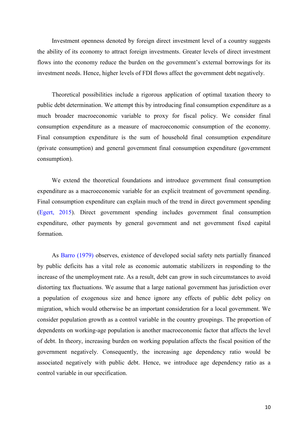Investment openness denoted by foreign direct investment level of a country suggests the ability of its economy to attract foreign investments. Greater levels of direct investment flows into the economy reduce the burden on the government's external borrowings for its investment needs. Hence, higher levels of FDI flows affect the government debt negatively.

 Theoretical possibilities include a rigorous application of optimal taxation theory to public debt determination. We attempt this by introducing final consumption expenditure as a much broader macroeconomic variable to proxy for fiscal policy. We consider final consumption expenditure as a measure of macroeconomic consumption of the economy. Final consumption expenditure is the sum of household final consumption expenditure (private consumption) and general government final consumption expenditure (government consumption).

 We extend the theoretical foundations and introduce government final consumption expenditure as a macroeconomic variable for an explicit treatment of government spending. Final consumption expenditure can explain much of the trend in direct government spending (Egert, 2015). Direct government spending includes government final consumption expenditure, other payments by general government and net government fixed capital formation.

 As Barro (1979) observes, existence of developed social safety nets partially financed by public deficits has a vital role as economic automatic stabilizers in responding to the increase of the unemployment rate. As a result, debt can grow in such circumstances to avoid distorting tax fluctuations. We assume that a large national government has jurisdiction over a population of exogenous size and hence ignore any effects of public debt policy on migration, which would otherwise be an important consideration for a local government. We consider population growth as a control variable in the country groupings. The proportion of dependents on working-age population is another macroeconomic factor that affects the level of debt. In theory, increasing burden on working population affects the fiscal position of the government negatively. Consequently, the increasing age dependency ratio would be associated negatively with public debt. Hence, we introduce age dependency ratio as a control variable in our specification.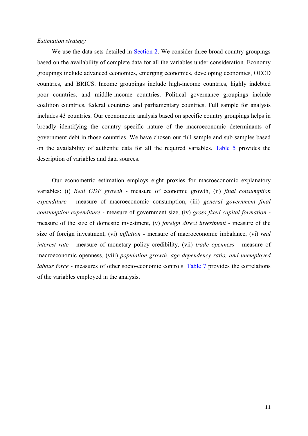#### *Estimation strategy*

We use the data sets detailed in Section 2. We consider three broad country groupings based on the availability of complete data for all the variables under consideration. Economy groupings include advanced economies, emerging economies, developing economies, OECD countries, and BRICS. Income groupings include high-income countries, highly indebted poor countries, and middle-income countries. Political governance groupings include coalition countries, federal countries and parliamentary countries. Full sample for analysis includes 43 countries. Our econometric analysis based on specific country groupings helps in broadly identifying the country specific nature of the macroeconomic determinants of government debt in those countries. We have chosen our full sample and sub samples based on the availability of authentic data for all the required variables. Table 5 provides the description of variables and data sources.

 Our econometric estimation employs eight proxies for macroeconomic explanatory variables: (i) *Real GDP growth* - measure of economic growth, (ii) *final consumption expenditure* - measure of macroeconomic consumption, (iii) *general government final consumption expenditure* - measure of government size, (iv) *gross fixed capital formation* measure of the size of domestic investment, (v) *foreign direct investment* - measure of the size of foreign investment, (vi) *inflation* - measure of macroeconomic imbalance, (vi) *real interest rate* - measure of monetary policy credibility, (vii) *trade openness* - measure of macroeconomic openness, (viii) *population growth*, *age dependency ratio, and unemployed labour force* - measures of other socio-economic controls. Table 7 provides the correlations of the variables employed in the analysis.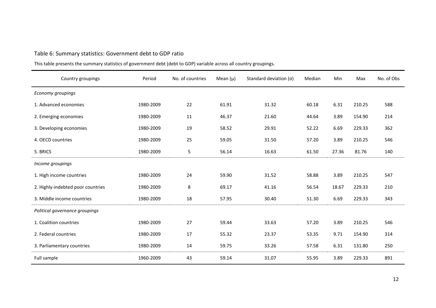# Table 6: Summary statistics: Government debt to GDP ratio

This table presents the summary statistics of government debt (debt to GDP) variable across all country groupings.

| Country groupings                 | Period    | No. of countries | Mean $(\mu)$ | Standard deviation $(\sigma)$ | Median | Min   | Max    | No. of Obs |
|-----------------------------------|-----------|------------------|--------------|-------------------------------|--------|-------|--------|------------|
| Economy groupings                 |           |                  |              |                               |        |       |        |            |
| 1. Advanced economies             | 1980-2009 | 22               | 61.91        | 31.32                         | 60.18  | 6.31  | 210.25 | 588        |
| 2. Emerging economies             | 1980-2009 | 11               | 46.37        | 21.60                         | 44.64  | 3.89  | 154.90 | 214        |
| 3. Developing economies           | 1980-2009 | 19               | 58.52        | 29.91                         | 52.22  | 6.69  | 229.33 | 362        |
| 4. OECD countries                 | 1980-2009 | 25               | 59.05        | 31.50                         | 57.20  | 3.89  | 210.25 | 546        |
| 5. BRICS                          | 1980-2009 | 5                | 56.14        | 16.63                         | 61.50  | 27.36 | 81.76  | 140        |
| Income groupings                  |           |                  |              |                               |        |       |        |            |
| 1. High income countries          | 1980-2009 | 24               | 59.90        | 31.52                         | 58.88  | 3.89  | 210.25 | 547        |
| 2. Highly-indebted poor countries | 1980-2009 | 8                | 69.17        | 41.16                         | 56.54  | 18.67 | 229.33 | 210        |
| 3. Middle income countries        | 1980-2009 | 18               | 57.95        | 30.40                         | 51.30  | 6.69  | 229.33 | 343        |
| Political governance groupings    |           |                  |              |                               |        |       |        |            |
| 1. Coalition countries            | 1980-2009 | 27               | 59.44        | 33.63                         | 57.20  | 3.89  | 210.25 | 546        |
| 2. Federal countries              | 1980-2009 | 17               | 55.32        | 23.37                         | 53.35  | 9.71  | 154.90 | 314        |
| 3. Parliamentary countries        | 1980-2009 | 14               | 59.75        | 33.26                         | 57.58  | 6.31  | 131.80 | 250        |
| Full sample                       | 1960-2009 | 43               | 59.14        | 31.07                         | 55.95  | 3.89  | 229.33 | 891        |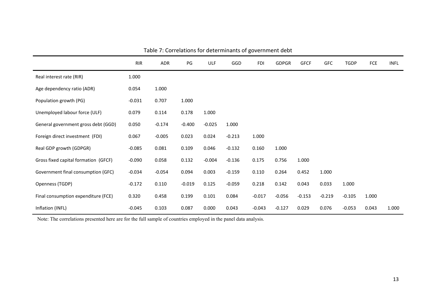|                                      | <b>RIR</b> | ADR      | PG       | <b>ULF</b> | GGD      | <b>FDI</b> | <b>GDPGR</b> | <b>GFCF</b> | GFC      | <b>TGDP</b> | FCE   | <b>INFL</b> |
|--------------------------------------|------------|----------|----------|------------|----------|------------|--------------|-------------|----------|-------------|-------|-------------|
| Real interest rate (RIR)             | 1.000      |          |          |            |          |            |              |             |          |             |       |             |
| Age dependency ratio (ADR)           | 0.054      | 1.000    |          |            |          |            |              |             |          |             |       |             |
| Population growth (PG)               | $-0.031$   | 0.707    | 1.000    |            |          |            |              |             |          |             |       |             |
| Unemployed labour force (ULF)        | 0.079      | 0.114    | 0.178    | 1.000      |          |            |              |             |          |             |       |             |
| General government gross debt (GGD)  | 0.050      | $-0.174$ | $-0.400$ | $-0.025$   | 1.000    |            |              |             |          |             |       |             |
| Foreign direct investment (FDI)      | 0.067      | $-0.005$ | 0.023    | 0.024      | $-0.213$ | 1.000      |              |             |          |             |       |             |
| Real GDP growth (GDPGR)              | $-0.085$   | 0.081    | 0.109    | 0.046      | $-0.132$ | 0.160      | 1.000        |             |          |             |       |             |
| Gross fixed capital formation (GFCF) | $-0.090$   | 0.058    | 0.132    | $-0.004$   | $-0.136$ | 0.175      | 0.756        | 1.000       |          |             |       |             |
| Government final consumption (GFC)   | $-0.034$   | $-0.054$ | 0.094    | 0.003      | $-0.159$ | 0.110      | 0.264        | 0.452       | 1.000    |             |       |             |
| Openness (TGDP)                      | $-0.172$   | 0.110    | $-0.019$ | 0.125      | $-0.059$ | 0.218      | 0.142        | 0.043       | 0.033    | 1.000       |       |             |
| Final consumption expenditure (FCE)  | 0.320      | 0.458    | 0.199    | 0.101      | 0.084    | $-0.017$   | $-0.056$     | $-0.153$    | $-0.219$ | $-0.105$    | 1.000 |             |
| Inflation (INFL)                     | $-0.045$   | 0.103    | 0.087    | 0.000      | 0.043    | $-0.043$   | $-0.127$     | 0.029       | 0.076    | $-0.053$    | 0.043 | 1.000       |

Table 7: Correlations for determinants of government debt

Note: The correlations presented here are for the full sample of countries employed in the panel data analysis.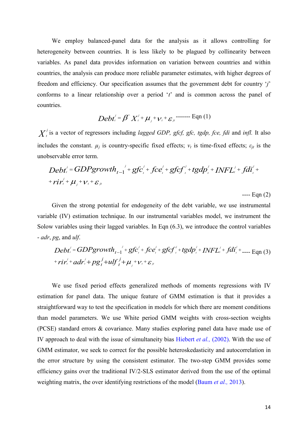We employ balanced-panel data for the analysis as it allows controlling for heterogeneity between countries. It is less likely to be plagued by collinearity between variables. As panel data provides information on variation between countries and within countries, the analysis can produce more reliable parameter estimates, with higher degrees of freedom and efficiency. Our specification assumes that the government debt for country '*j*' conforms to a linear relationship over a period '*t*' and is common across the panel of countries.

$$
Debt'_{i} = \beta^{\hat{}} X'_{i} + \mu_{j} + \nu_{i} + \varepsilon_{ji}
$$
----- Eqn (1)

 $X_{\scriptscriptstyle{t}}^{\scriptscriptstyle{J}}$ *t* is a vector of regressors including *lagged GDP, gfcf, gfc, tgdp, fce, fdi* and *infl.* It also includes the constant.  $\mu_j$  is country-specific fixed effects;  $v_t$  is time-fixed effects;  $\varepsilon_{jt}$  is the unobservable error term.

$$
Debt'_{i} = GDPgrowth_{t-1}^{j} + gfc'_{i} + fce'_{i} + gfcf'_{i} + tgdp'_{i} + INFL'_{i} + fdi'_{i} + rir'_{i} + \mu_{j} + \nu_{i} + \varepsilon_{ji}
$$

 $---$  Eqn  $(2)$ 

 Given the strong potential for endogeneity of the debt variable, we use instrumental variable (IV) estimation technique. In our instrumental variables model, we instrument the Solow variables using their lagged variables. In Eqn (6.3), we introduce the control variables - *adr*, *pg*, and *ulf*.

$$
Debt'_{t} = GDPgrowth_{t-1}^{j} + gfc'_{t} + fce'_{t} + gfcf'_{t} + tgdp'_{t} + INFL'_{t} + fdi'_{t} + \dots
$$
 Eqn (3)  
+  $rir'_{t} + adr'_{t} + pg'_{t} + ulf'_{t} + \mu_{t} + \nu_{t} + \varepsilon_{\mu}$ 

 We use fixed period effects generalized methods of moments regressions with IV estimation for panel data. The unique feature of GMM estimation is that it provides a straightforward way to test the specification in models for which there are moment conditions than model parameters. We use White period GMM weights with cross-section weights (PCSE) standard errors & covariance. Many studies exploring panel data have made use of IV approach to deal with the issue of simultaneity bias Hiebert *et al.,* (2002). With the use of GMM estimator, we seek to correct for the possible heteroskedasticity and autocorrelation in the error structure by using the consistent estimator. The two-step GMM provides some efficiency gains over the traditional IV/2-SLS estimator derived from the use of the optimal weighting matrix, the over identifying restrictions of the model (Baum *et al.,* 2013).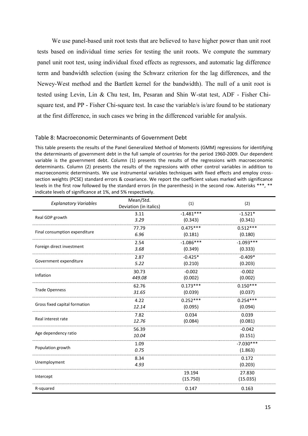We use panel-based unit root tests that are believed to have higher power than unit root tests based on individual time series for testing the unit roots. We compute the summary panel unit root test, using individual fixed effects as regressors, and automatic lag difference term and bandwidth selection (using the Schwarz criterion for the lag differences, and the Newey-West method and the Bartlett kernel for the bandwidth). The null of a unit root is tested using Levin, Lin & Chu test, Im, Pesaran and Shin W-stat test, ADF - Fisher Chisquare test, and PP - Fisher Chi-square test. In case the variable/s is/are found to be stationary at the first difference, in such cases we bring in the differenced variable for analysis.

#### Table 8: Macroeconomic Determinants of Government Debt

This table presents the results of the Panel Generalized Method of Moments (GMM) regressions for identifying the determinants of government debt in the full sample of countries for the period 1960-2009. Our dependent variable is the government debt. Column (1) presents the results of the regressions with macroeconomic determinants. Column (2) presents the results of the regressions with other control variables in addition to macroeconomic determinants. We use instrumental variables techniques with fixed effects and employ crosssection weights (PCSE) standard errors & covariance. We report the coefficient values marked with significance levels in the first row followed by the standard errors (in the parenthesis) in the second row. Asterisks \*\*\*, \*\* indicate levels of significance at 1%, and 5% respectively.

| <b>Explanatory Variables</b>  | Mean/Std.<br>Deviation (in italics) | (1)         | (2)         |
|-------------------------------|-------------------------------------|-------------|-------------|
|                               | 3.11                                | $-1.481***$ | $-1.521*$   |
| Real GDP growth               | 3.29                                | (0.343)     | (0.341)     |
|                               | 77.79                               | $0.475***$  | $0.512***$  |
| Final consumption expenditure | 6.96                                | (0.181)     | (0.180)     |
|                               | 2.54                                | $-1.086***$ | $-1.093***$ |
| Foreign direct investment     | 3.68                                | (0.349)     | (0.333)     |
|                               | 2.87                                | $-0.425*$   | $-0.409*$   |
| Government expenditure        | 5.22                                | (0.210)     | (0.203)     |
|                               | 30.73                               | $-0.002$    | $-0.002$    |
| Inflation                     | 449.08                              | (0.002)     | (0.002)     |
|                               | 62.76                               | $0.173***$  | $0.150***$  |
| <b>Trade Openness</b>         | 31.65                               | (0.039)     | (0.037)     |
|                               | 4.22                                | $0.252***$  | $0.254***$  |
| Gross fixed capital formation | 12.14                               | (0.095)     | (0.094)     |
|                               | 7.82                                | 0.034       | 0.039       |
| Real interest rate            | 12.76                               | (0.084)     | (0.081)     |
|                               | 56.39                               |             | $-0.042$    |
| Age dependency ratio          | 10.04                               |             | (0.151)     |
|                               | 1.09                                |             | $-7.030***$ |
| Population growth             | 0.75                                |             | (1.863)     |
|                               | 8.34                                |             | 0.172       |
| Unemployment                  | 4.93                                |             | (0.203)     |
|                               |                                     | 19.194      | 27.830      |
| Intercept                     |                                     | (15.750)    | (15.035)    |
| R-squared                     |                                     | 0.147       | 0.163       |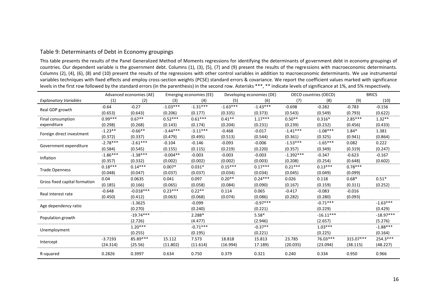#### Table 9: Determinants of Debt in Economy groupings

This table presents the results of the Panel Generalized Method of Moments regressions for identifying the determinants of government debt in economy groupings of countries. Our dependent variable is the government debt. Columns (1), (3), (5), (7) and (9) present the results of the regressions with macroeconomic determinants. Columns (2), (4), (6), (8) and (10) present the results of the regressions with other control variables in addition to macroeconomic determinants. We use instrumental variables techniques with fixed effects and employ cross-section weights (PCSE) standard errors & covariance. We report the coefficient values marked with significance levels in the first row followed by the standard errors (in the parenthesis) in the second row. Asterisks \*\*\*, \*\* indicate levels of significance at 1%, and 5% respectively.

|                               |            | Advanced economies (AE) |            | Emerging economies (EE) |            | Developing economies (DE) | <b>OECD countries (OECD)</b> |             | <b>BRICS</b> |             |
|-------------------------------|------------|-------------------------|------------|-------------------------|------------|---------------------------|------------------------------|-------------|--------------|-------------|
| <b>Explanatory Variables</b>  | (1)        | (2)                     | (3)        | (4)                     | (5)        | (6)                       | (7)                          | (8)         | (9)          | (10)        |
|                               | $-0.64$    | $-0.27$                 | $-1.03***$ | $-1.31***$              | $-1.63***$ | $-1.43***$                | $-0.698$                     | $-0.282$    | $-0.783$     | $-0.156$    |
| Real GDP growth               | (0.653)    | (0.643)                 | (0.206)    | (0.177)                 | (0.335)    | (0.373)                   | (0.543)                      | (0.549)     | (0.793)      | (0.622)     |
| Final consumption             | $0.99***$  | $0.67**$                | $0.52***$  | $0.61***$               | $0.41**$   | $1.17***$                 | $0.50**$                     | $0.316*$    | $2.85***$    | $1.32**$    |
| expenditure                   | (0.298)    | (0.268)                 | (0.143)    | (0.174)                 | (0.204)    | (0.231)                   | (0.239)                      | (0.232)     | (0.456)      | (0.433)     |
|                               | $-1.23**$  | $-0.66**$               | $-3.44***$ | $-3.11***$              | $-0.468$   | $-0.017$                  | $-1.41***$                   | $-1.08***$  | $1.84*$      | 1.381       |
| Foreign direct investment     | (0.372)    | (0.337)                 | (0.479)    | (0.495)                 | (0.513)    | (0.544)                   | (0.361)                      | (0.325)     | (0.941)      | (0.864)     |
| Government expenditure        | $-2.78***$ | $-2.61***$              | $-0.104$   | $-0.146$                | $-0.093$   | $-0.006$                  | $-1.53***$                   | $-1.65***$  | 0.082        | 0.222       |
|                               | (0.584)    | (0.545)                 | (0.155)    | (0.115)                 | (0.219)    | (0.220)                   | (0.357)                      | (0.349)     | (0.319)      | (0.247)     |
| Inflation                     | $-1.86***$ | $-1.38***$              | $-0.004**$ | $-0.003$                | $-0.003$   | $-0.003$                  | $-1.392***$                  | $-0.347$    | $-0.623$     | $-0.167$    |
|                               | (0.357)    | (0.332)                 | (0.002)    | (0.002)                 | (0.002)    | (0.003)                   | (0.208)                      | (0.254)     | (0.648)      | (0.602)     |
|                               | $0.18***$  | $0.14***$               | $0.007*$   | $0.031*$                | $0.15***$  | $0.17***$                 | $0.21***$                    | $0.13***$   | $0.78***$    |             |
| <b>Trade Openness</b>         | (0.048)    | (0.047)                 | (0.037)    | (0.037)                 | (0.034)    | (0.034)                   | (0.045)                      | (0.049)     | (0.099)      |             |
|                               | 0.04       | 0.0635                  | 0.041      | 0.097                   | $0.20**$   | $0.24***$                 | 0.026                        | 0.118       | $0.68*$      | $0.51*$     |
| Gross fixed capital formation | (0.185)    | (0.166)                 | (0.065)    | (0.058)                 | (0.084)    | (0.090)                   | (0.167)                      | (0.159)     | (0.311)      | (0.252)     |
| Real interest rate            | $-0.648$   | $-0.018***$             | $0.23***$  | $0.22**$                | 0.114      | 0.065                     | $-0.417$                     | $-0.083$    | $-0.016$     |             |
|                               | (0.450)    | (0.412)                 | (0.063)    | (0.068)                 | (0.074)    | (0.086)                   | (0.282)                      | (0.280)     | (0.093)      |             |
|                               |            | $-1.3625$               |            | $-0.099$                |            | $-0.97***$                |                              | $-0.71***$  |              | $-1.63***$  |
| Age dependency ratio          |            | (0.270)                 |            | (0.240)                 |            | (0.221)                   |                              | (0.229)     |              | (0.429)     |
|                               |            | $-19.74***$             |            | 2.288*                  |            | $5.58*$                   |                              | $-16.11***$ |              | $-18.97***$ |
| Population growth             |            | (2.726)                 |            | (4.477)                 |            | (2.946)                   |                              | (2.657)     |              | (5.276)     |
|                               |            | $1.20***$               |            | $-0.71***$              |            | $-0.37**$                 |                              | $1.03***$   |              | $-1.88***$  |
| Unemployment                  |            | (0.255)                 |            | (0.195)                 |            | (0.221)                   |                              | (0.225)     |              | (0.164)     |
|                               | $-3.7193$  | 85.89***                | 15.112     | 7.573                   | 18.818     | 15.813                    | 23.785                       | 76.03***    | 315.07***    | 254.3***    |
| Intercept                     | (24.314)   | (25.56)                 | (11.802)   | (11.614)                | (16.994)   | 17.189)                   | (20.035)                     | (23.094)    | (38.115)     | (48.227)    |
| R-squared                     | 0.2826     | 0.3997                  | 0.634      | 0.750                   | 0.379      | 0.321                     | 0.240                        | 0.334       | 0.950        | 0.966       |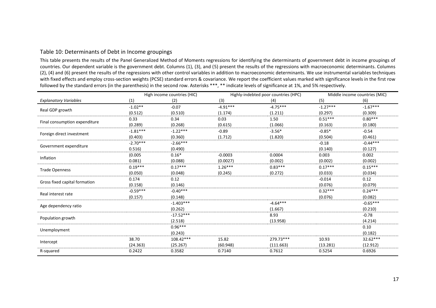#### Table 10: Determinants of Debt in Income groupings

This table presents the results of the Panel Generalized Method of Moments regressions for identifying the determinants of government debt in income groupings of countries. Our dependent variable is the government debt. Columns (1), (3), and (5) present the results of the regressions with macroeconomic determinants. Columns (2), (4) and (6) present the results of the regressions with other control variables in addition to macroeconomic determinants. We use instrumental variables techniques with fixed effects and employ cross-section weights (PCSE) standard errors & covariance. We report the coefficient values marked with significance levels in the first row followed by the standard errors (in the parenthesis) in the second row. Asterisks \*\*\*, \*\* indicate levels of significance at 1%, and 5% respectively.

|                               |            | High income countries (HIC) |            | Highly-indebted poor countries (HPC) | Middle income countries (MIC) |            |
|-------------------------------|------------|-----------------------------|------------|--------------------------------------|-------------------------------|------------|
| <b>Explanatory Variables</b>  | (1)        | (2)                         | (3)        | (4)                                  | (5)                           | (6)        |
| Real GDP growth               | $-1.02**$  | $-0.07$                     | $-4.91***$ | $-4.75***$                           | $-1.27***$                    | $-1.67***$ |
|                               | (0.512)    | (0.510)                     | (1.174)    | (1.211)                              | (0.297)                       | (0.309)    |
| Final consumption expenditure | 0.33       | 0.34                        | 0.03       | 1.50                                 | $0.51***$                     | $0.80***$  |
|                               | (0.289)    | (0.268)                     | (0.615)    | (1.066)                              | (0.163)                       | (0.180)    |
| Foreign direct investment     | $-1.81***$ | $-1.22***$                  | $-0.89$    | $-3.56*$                             | $-0.85*$                      | $-0.54$    |
|                               | (0.403)    | (0.360)                     | (1.712)    | (1.820)                              | (0.504)                       | (0.461)    |
| Government expenditure        | $-2.70***$ | $-2.66***$                  |            |                                      | $-0.18$                       | $-0.44***$ |
|                               | 0.516)     | (0.490)                     |            |                                      | (0.140)                       | (0.127)    |
| Inflation                     | (0.005)    | $0.16*$                     | $-0.0003$  | 0.0004                               | 0.003                         | 0.002      |
|                               | 0.081)     | (0.088)                     | (0.0027)   | (0.002)                              | (0.002)                       | (0.002)    |
| <b>Trade Openness</b>         | $0.19***$  | $0.17***$                   | $1.26***$  | $0.83***$                            | $0.17***$                     | $0.15***$  |
|                               | (0.050)    | (0.048)                     | (0.245)    | (0.272)                              | (0.033)                       | (0.034)    |
| Gross fixed capital formation | 0.174      | 0.12                        |            |                                      | $-0.014$                      | 0.12       |
|                               | (0.158)    | (0.146)                     |            |                                      | (0.076)                       | (0.079)    |
| Real interest rate            | $-0.59***$ | $-0.40***$                  |            |                                      | $0.32***$                     | $0.24***$  |
|                               | (0.157)    | (0.148)                     |            |                                      | (0.076)                       | (0.082)    |
| Age dependency ratio          |            | $-1.403***$                 |            | $-4.64***$                           |                               | $-0.65***$ |
|                               |            | (0.262)                     |            | (1.667)                              |                               | (0.210)    |
| Population growth             |            | $-17.52***$                 |            | 8.93                                 |                               | $-0.78$    |
|                               |            | (2.518)                     |            | (13.958)                             |                               | (4.214)    |
| Unemployment                  |            | $0.96***$                   |            |                                      |                               | 0.10       |
|                               |            | (0.243)                     |            |                                      |                               | (0.182)    |
| Intercept                     | 38.70      | 108.42***                   | 15.82      | 279.73***                            | 10.93                         | 32.62***   |
|                               | (24.363)   | (25.267)                    | (60.948)   | (111.663)                            | (13.281)                      | (12.912)   |
| R-squared                     | 0.2422     | 0.3582                      | 0.7140     | 0.7612                               | 0.5254                        | 0.6926     |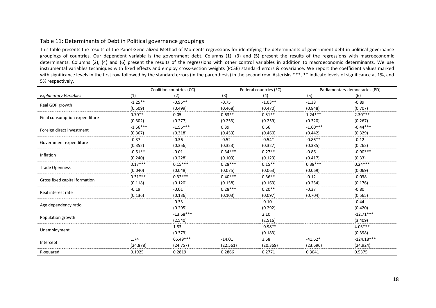#### Table 11: Determinants of Debt in Political governance groupings

This table presents the results of the Panel Generalized Method of Moments regressions for identifying the determinants of government debt in political governance groupings of countries. Our dependent variable is the government debt. Columns (1), (3) and (5) present the results of the regressions with macroeconomic determinants. Columns (2), (4) and (6) present the results of the regressions with other control variables in addition to macroeconomic determinants. We use instrumental variables techniques with fixed effects and employ cross-section weights (PCSE) standard errors & covariance. We report the coefficient values marked with significance levels in the first row followed by the standard errors (in the parenthesis) in the second row. Asterisks \*\*\*, \*\* indicate levels of significance at 1%, and 5% respectively.

|                               | Coalition countries (CC) |             | Federal countries (FC) |           | Parliamentary democracies (PD) |              |
|-------------------------------|--------------------------|-------------|------------------------|-----------|--------------------------------|--------------|
| <b>Explanatory Variables</b>  | (1)                      | (2)         | (3)                    | (4)       | (5)                            | (6)          |
|                               | $-1.25**$                | $-0.95**$   | $-0.75$                | $-1.03**$ | $-1.38$                        | $-0.89$      |
| Real GDP growth               | (0.509)                  | (0.499)     | (0.468)                | (0.470)   | (0.848)                        | (0.707)      |
|                               | $0.70**$                 | 0.05        | $0.63**$               | $0.51**$  | $1.24***$                      | $2.30***$    |
| Final consumption expenditure | (0.302)                  | (0.277)     | (0.253)                | (0.259)   | (0.320)                        | (0.267)      |
| Foreign direct investment     | $-1.56***$               | $-1.56***$  | 0.39                   | 0.66      | $-1.60***$                     | $-0.44***$   |
|                               | (0.367)                  | (0.318)     | (0.453)                | (0.460)   | (0.442)                        | (0.329)      |
| Government expenditure        | $-0.37$                  | $-0.36$     | $-0.52$                | $-0.54*$  | $-0.86**$                      | $-0.12$      |
|                               | (0.352)                  | (0.356)     | (0.323)                | (0.327)   | (0.385)                        | (0.262)      |
| Inflation                     | $-0.51**$                | $-0.01$     | $0.34***$              | $0.27**$  | $-0.86$                        | $-0.90***$   |
|                               | (0.240)                  | (0.228)     | (0.103)                | (0.123)   | (0.417)                        | (0.33)       |
|                               | $0.17***$                | $0.15***$   | $0.28***$              | $0.15***$ | $0.38***$                      | $0.24***$    |
| <b>Trade Openness</b>         | (0.040)                  | (0.048)     | (0.075)                | (0.063)   | (0.069)                        | (0.069)      |
| Gross fixed capital formation | $0.31***$                | $0.32***$   | $0.40***$              | $0.36**$  | $-0.12$                        | $-0.038$     |
|                               | (0.118)                  | (0.120)     | (0.158)                | (0.163)   | (0.254)                        | (0.176)      |
| Real interest rate            | $-0.19$                  | $-0.01$     | $0.28***$              | $0.20**$  | $-0.37$                        | $-0.80$      |
|                               | (0.136)                  | (0.136)     | (0.103)                | (0.097)   | (0.704)                        | (0.565)      |
|                               |                          | $-0.33$     |                        | $-0.10$   |                                | $-0.44$      |
| Age dependency ratio          |                          | (0.295)     |                        | (0.292)   |                                | (0.420)      |
| Population growth             |                          | $-13.68***$ |                        | 2.10      |                                | $-12.71***$  |
|                               |                          | (2.540)     |                        | (2.516)   |                                | (3.409)      |
|                               |                          | 1.83        |                        | $-0.98**$ |                                | $4.03***$    |
| Unemployment                  |                          | (0.373)     |                        | (0.183)   |                                | (0.398)      |
|                               | 1.74                     | 66.49***    | $-14.01$               | 3.58      | $-41.62*$                      | $-124.18***$ |
| Intercept                     | (24.878)                 | (24.757)    | (22.561)               | (20.369)  | (23.696)                       | (24.924)     |
| R-squared                     | 0.1925                   | 0.2819      | 0.2866                 | 0.2771    | 0.3041                         | 0.5375       |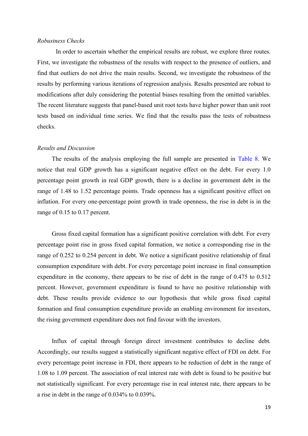#### *Robustness Checks*

In order to ascertain whether the empirical results are robust, we explore three routes. First, we investigate the robustness of the results with respect to the presence of outliers, and find that outliers do not drive the main results. Second, we investigate the robustness of the results by performing various iterations of regression analysis. Results presented are robust to modifications after duly considering the potential biases resulting from the omitted variables. The recent literature suggests that panel-based unit root tests have higher power than unit root tests based on individual time series. We find that the results pass the tests of robustness checks.

#### *Results and Discussion*

 The results of the analysis employing the full sample are presented in Table 8. We notice that real GDP growth has a significant negative effect on the debt. For every 1.0 percentage point growth in real GDP growth, there is a decline in government debt in the range of 1.48 to 1.52 percentage points. Trade openness has a significant positive effect on inflation. For every one-percentage point growth in trade openness, the rise in debt is in the range of 0.15 to 0.17 percent.

 Gross fixed capital formation has a significant positive correlation with debt. For every percentage point rise in gross fixed capital formation, we notice a corresponding rise in the range of 0.252 to 0.254 percent in debt. We notice a significant positive relationship of final consumption expenditure with debt. For every percentage point increase in final consumption expenditure in the economy, there appears to be rise of debt in the range of 0.475 to 0.512 percent. However, government expenditure is found to have no positive relationship with debt. These results provide evidence to our hypothesis that while gross fixed capital formation and final consumption expenditure provide an enabling environment for investors, the rising government expenditure does not find favour with the investors.

 Influx of capital through foreign direct investment contributes to decline debt. Accordingly, our results suggest a statistically significant negative effect of FDI on debt. For every percentage point increase in FDI, there appears to be reduction of debt in the range of 1.08 to 1.09 percent. The association of real interest rate with debt is found to be positive but not statistically significant. For every percentage rise in real interest rate, there appears to be a rise in debt in the range of 0.034% to 0.039%.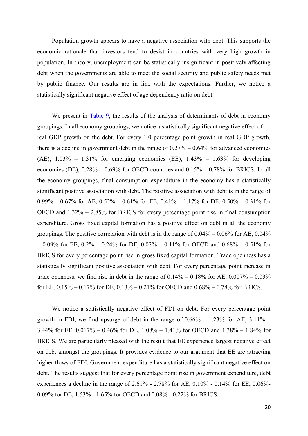Population growth appears to have a negative association with debt. This supports the economic rationale that investors tend to desist in countries with very high growth in population. In theory, unemployment can be statistically insignificant in positively affecting debt when the governments are able to meet the social security and public safety needs met by public finance. Our results are in line with the expectations. Further, we notice a statistically significant negative effect of age dependency ratio on debt.

We present in Table 9, the results of the analysis of determinants of debt in economy groupings. In all economy groupings, we notice a statistically significant negative effect of real GDP growth on the debt. For every 1.0 percentage point growth in real GDP growth, there is a decline in government debt in the range of  $0.27\% - 0.64\%$  for advanced economies (AE),  $1.03\% - 1.31\%$  for emerging economies (EE),  $1.43\% - 1.63\%$  for developing economies (DE),  $0.28\% - 0.69\%$  for OECD countries and  $0.15\% - 0.78\%$  for BRICS. In all the economy groupings, final consumption expenditure in the economy has a statistically significant positive association with debt. The positive association with debt is in the range of 0.99% – 0.67% for AE, 0.52% – 0.61% for EE, 0.41% – 1.17% for DE, 0.50% – 0.31% for OECD and 1.32% – 2.85% for BRICS for every percentage point rise in final consumption expenditure. Gross fixed capital formation has a positive effect on debt in all the economy groupings. The positive correlation with debt is in the range of  $0.04\% - 0.06\%$  for AE,  $0.04\%$  $-0.09\%$  for EE,  $0.2\% - 0.24\%$  for DE,  $0.02\% - 0.11\%$  for OECD and  $0.68\% - 0.51\%$  for BRICS for every percentage point rise in gross fixed capital formation. Trade openness has a statistically significant positive association with debt. For every percentage point increase in trade openness, we find rise in debt in the range of  $0.14\% - 0.18\%$  for AE,  $0.007\% - 0.03\%$ for EE,  $0.15\% - 0.17\%$  for DE,  $0.13\% - 0.21\%$  for OECD and  $0.68\% - 0.78\%$  for BRICS.

 We notice a statistically negative effect of FDI on debt. For every percentage point growth in FDI, we find upsurge of debt in the range of  $0.66\% - 1.23\%$  for AE,  $3.11\%$  – 3.44% for EE, 0.017% – 0.46% for DE, 1.08% – 1.41% for OECD and 1.38% – 1.84% for BRICS. We are particularly pleased with the result that EE experience largest negative effect on debt amongst the groupings. It provides evidence to our argument that EE are attracting higher flows of FDI. Government expenditure has a statistically significant negative effect on debt. The results suggest that for every percentage point rise in government expenditure, debt experiences a decline in the range of 2.61% - 2.78% for AE, 0.10% - 0.14% for EE, 0.06%- 0.09% for DE, 1.53% - 1.65% for OECD and 0.08% - 0.22% for BRICS.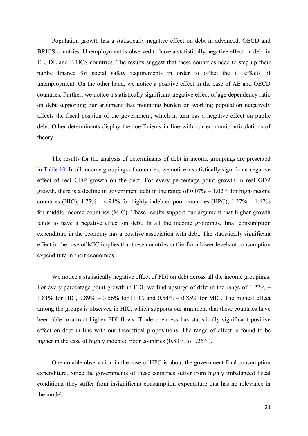Population growth has a statistically negative effect on debt in advanced, OECD and BRICS countries. Unemployment is observed to have a statistically negative effect on debt in EE, DE and BRICS countries. The results suggest that these countries need to step up their public finance for social safety requirements in order to offset the ill effects of unemployment. On the other hand, we notice a positive effect in the case of AE and OECD countries. Further, we notice a statistically significant negative effect of age dependency ratio on debt supporting our argument that mounting burden on working population negatively affects the fiscal position of the government, which in turn has a negative effect on public debt. Other determinants display the coefficients in line with our economic articulations of theory.

 The results for the analysis of determinants of debt in income groupings are presented in Table 10. In all income groupings of countries, we notice a statistically significant negative effect of real GDP growth on the debt. For every percentage point growth in real GDP growth, there is a decline in government debt in the range of  $0.07\% - 1.02\%$  for high-income countries (HIC),  $4.75\% - 4.91\%$  for highly indebted poor countries (HPC),  $1.27\% - 1.67\%$ for middle income countries (MIC). These results support our argument that higher growth tends to have a negative effect on debt. In all the income groupings, final consumption expenditure in the economy has a positive association with debt. The statistically significant effect in the case of MIC implies that these countries suffer from lower levels of consumption expenditure in their economies.

We notice a statistically negative effect of FDI on debt across all the income groupings. For every percentage point growth in FDI, we find upsurge of debt in the range of 1.22% – 1.81% for HIC, 0.89% – 3.56% for HPC, and 0.54% – 0.85% for MIC. The highest effect among the groups is observed in HIC, which supports our argument that these countries have been able to attract higher FDI flows. Trade openness has statistically significant positive effect on debt in line with our theoretical propositions. The range of effect is found to be higher in the case of highly indebted poor countries  $(0.83\%$  to 1.26%).

 One notable observation in the case of HPC is about the government final consumption expenditure. Since the governments of these countries suffer from highly imbalanced fiscal conditions, they suffer from insignificant consumption expenditure that has no relevance in the model.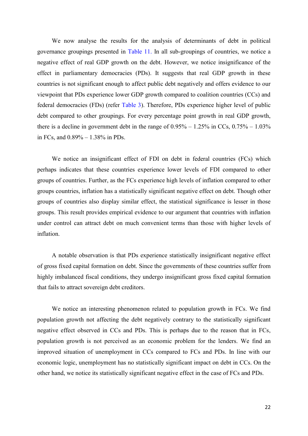We now analyse the results for the analysis of determinants of debt in political governance groupings presented in Table 11. In all sub-groupings of countries, we notice a negative effect of real GDP growth on the debt. However, we notice insignificance of the effect in parliamentary democracies (PDs). It suggests that real GDP growth in these countries is not significant enough to affect public debt negatively and offers evidence to our viewpoint that PDs experience lower GDP growth compared to coalition countries (CCs) and federal democracies (FDs) (refer Table 3). Therefore, PDs experience higher level of public debt compared to other groupings. For every percentage point growth in real GDP growth, there is a decline in government debt in the range of  $0.95\% - 1.25\%$  in CCs,  $0.75\% - 1.03\%$ in FCs, and 0.89% – 1.38% in PDs.

We notice an insignificant effect of FDI on debt in federal countries (FCs) which perhaps indicates that these countries experience lower levels of FDI compared to other groups of countries. Further, as the FCs experience high levels of inflation compared to other groups countries, inflation has a statistically significant negative effect on debt. Though other groups of countries also display similar effect, the statistical significance is lesser in those groups. This result provides empirical evidence to our argument that countries with inflation under control can attract debt on much convenient terms than those with higher levels of inflation.

 A notable observation is that PDs experience statistically insignificant negative effect of gross fixed capital formation on debt. Since the governments of these countries suffer from highly imbalanced fiscal conditions, they undergo insignificant gross fixed capital formation that fails to attract sovereign debt creditors.

 We notice an interesting phenomenon related to population growth in FCs. We find population growth not affecting the debt negatively contrary to the statistically significant negative effect observed in CCs and PDs. This is perhaps due to the reason that in FCs, population growth is not perceived as an economic problem for the lenders. We find an improved situation of unemployment in CCs compared to FCs and PDs. In line with our economic logic, unemployment has no statistically significant impact on debt in CCs. On the other hand, we notice its statistically significant negative effect in the case of FCs and PDs.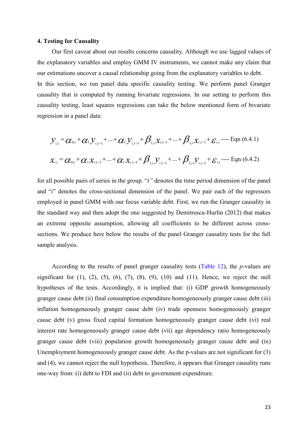#### **4. Testing for Causality**

 Our first caveat about our results concerns causality. Although we use lagged values of the explanatory variables and employ GMM IV instruments, we cannot make any claim that our estimations uncover a causal relationship going from the explanatory variables to debt. In this section, we run panel data specific causality testing. We perform panel Granger causality that is computed by running bivariate regressions. In our setting to perform this causality testing, least squares regressions can take the below mentioned form of bivariate regression in a panel data:

$$
\mathcal{Y}_{i,t} = \alpha_{0,i} + \alpha_1 \mathcal{Y}_{i,t-1} + ... + \alpha_l \mathcal{Y}_{i,t-1} + \beta_{1,i} \mathcal{X}_{i,t-1} + ... + \beta_{1,i} \mathcal{X}_{i,t-1} + \varepsilon_{i,t} = \alpha_{0,i} + \alpha_1 \mathcal{X}_{i,t-1} + ... + \alpha_l \mathcal{X}_{i,t-1} + \beta_{1,i} \mathcal{Y}_{i,t-1} + ... + \beta_{1,i} \mathcal{Y}_{i,t-1} + \varepsilon_{i,t} = \text{Eqn (6.4.2)}
$$

for all possible pairs of series in the group. "*t"* denotes the time period dimension of the panel and "*i*" denotes the cross-sectional dimension of the panel. We pair each of the regressors employed in panel GMM with our focus variable debt. First, we run the Granger causality in the standard way and then adopt the one suggested by Demitrescu-Hurlin (2012) that makes an extreme opposite assumption, allowing all coefficients to be different across crosssections. We produce here below the results of the panel Granger causality tests for the full sample analysis.

 According to the results of panel granger causality tests (Table 12), the *p*-values are significant for  $(1)$ ,  $(2)$ ,  $(5)$ ,  $(6)$ ,  $(7)$ ,  $(8)$ ,  $(9)$ ,  $(10)$  and  $(11)$ . Hence, we reject the null hypotheses of the tests. Accordingly, it is implied that: (i) GDP growth homogeneously granger cause debt (ii) final consumption expenditure homogeneously granger cause debt (iii) inflation homogeneously granger cause debt (iv) trade openness homogeneously granger cause debt (v) gross fixed capital formation homogeneously granger cause debt (vi) real interest rate homogeneously granger cause debt (vii) age dependency ratio homogeneously granger cause debt (viii) population growth homogeneously granger cause debt and (ix) Unemployment homogeneously granger cause debt. As the p-values are not significant for (3) and (4), we cannot reject the null hypothesis. Therefore, it appears that Granger causality runs one-way from: (i) debt to FDI and (ii) debt to government expenditure.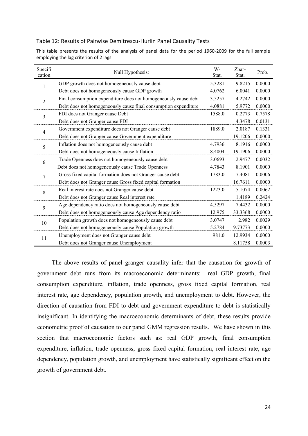#### Table 12: Results of Pairwise Demitrescu-Hurlin Panel Causality Tests

| Specifi<br>cation | Null Hypothesis:                                                | $W -$<br>Stat. | Zbar-<br>Stat. | Prob.  |
|-------------------|-----------------------------------------------------------------|----------------|----------------|--------|
|                   | GDP growth does not homogeneously cause debt                    | 5.3281         | 9.8215         | 0.0000 |
|                   | Debt does not homogeneously cause GDP growth                    | 4.0762         | 6.0041         | 0.0000 |
| $\overline{2}$    | Final consumption expenditure does not homogeneously cause debt | 3.5257         | 4.2742         | 0.0000 |
|                   | Debt does not homogeneously cause final consumption expenditure | 4.0881         | 5.9772         | 0.0000 |
| 3                 | FDI does not Granger cause Debt                                 | 1588.0         | 0.2773         | 0.7578 |
|                   | Debt does not Granger cause FDI                                 |                | 4.3478         | 0.0131 |
| $\overline{4}$    | Government expenditure does not Granger cause debt              | 1889.0         | 2.0187         | 0.1331 |
|                   | Debt does not Granger cause Government expenditure              |                | 19.1206        | 0.0000 |
| 5                 | Inflation does not homogeneously cause debt                     | 4.7936         | 8.1916         | 0.0000 |
|                   | Debt does not homogeneously cause Inflation                     | 8.4004         | 19.1906        | 0.0000 |
| 6                 | Trade Openness does not homogeneously cause debt                | 3.0693         | 2.9477         | 0.0032 |
|                   | Debt does not homogeneously cause Trade Openness                | 4.7843         | 8.1901         | 0.0000 |
| 7                 | Gross fixed capital formation does not Granger cause debt       | 1783.0         | 7.4081         | 0.0006 |
|                   | Debt does not Granger cause Gross fixed capital formation       |                | 16.7611        | 0.0000 |
| 8                 | Real interest rate does not Granger cause debt                  | 1223.0         | 5.1074         | 0.0062 |
|                   | Debt does not Granger cause Real interest rate                  |                | 1.4189         | 0.2424 |
| 9                 | Age dependency ratio does not homogeneously cause debt          | 4.5297         | 7.4432         | 0.0000 |
|                   | Debt does not homogeneously cause Age dependency ratio          | 12.975         | 33.3368        | 0.0000 |
| 10                | Population growth does not homogeneously cause debt             | 3.0747         | 2.982          | 0.0029 |
|                   | Debt does not homogeneously cause Population growth             | 5.2784         | 9.73773        | 0.0000 |
| 11                | Unemployment does not Granger cause debt                        | 981.0          | 12.9934        | 0.0000 |
|                   | Debt does not Granger cause Unemployment                        |                | 8.11758        | 0.0003 |

This table presents the results of the analysis of panel data for the period 1960-2009 for the full sample employing the lag criterion of 2 lags.

 The above results of panel granger causality infer that the causation for growth of government debt runs from its macroeconomic determinants: real GDP growth, final consumption expenditure, inflation, trade openness, gross fixed capital formation, real interest rate, age dependency, population growth, and unemployment to debt. However, the direction of causation from FDI to debt and government expenditure to debt is statistically insignificant. In identifying the macroeconomic determinants of debt, these results provide econometric proof of causation to our panel GMM regression results. We have shown in this section that macroeconomic factors such as: real GDP growth, final consumption expenditure, inflation, trade openness, gross fixed capital formation, real interest rate, age dependency, population growth, and unemployment have statistically significant effect on the growth of government debt.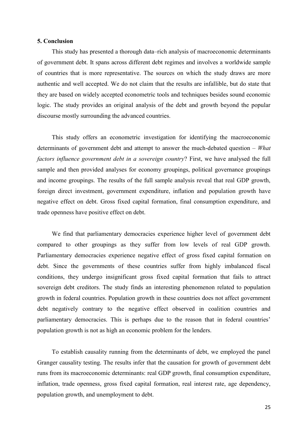### **5. Conclusion**

 This study has presented a thorough data–rich analysis of macroeconomic determinants of government debt. It spans across different debt regimes and involves a worldwide sample of countries that is more representative. The sources on which the study draws are more authentic and well accepted. We do not claim that the results are infallible, but do state that they are based on widely accepted econometric tools and techniques besides sound economic logic. The study provides an original analysis of the debt and growth beyond the popular discourse mostly surrounding the advanced countries.

 This study offers an econometric investigation for identifying the macroeconomic determinants of government debt and attempt to answer the much-debated question – *What factors influence government debt in a sovereign country*? First, we have analysed the full sample and then provided analyses for economy groupings, political governance groupings and income groupings. The results of the full sample analysis reveal that real GDP growth, foreign direct investment, government expenditure, inflation and population growth have negative effect on debt. Gross fixed capital formation, final consumption expenditure, and trade openness have positive effect on debt.

 We find that parliamentary democracies experience higher level of government debt compared to other groupings as they suffer from low levels of real GDP growth. Parliamentary democracies experience negative effect of gross fixed capital formation on debt. Since the governments of these countries suffer from highly imbalanced fiscal conditions, they undergo insignificant gross fixed capital formation that fails to attract sovereign debt creditors. The study finds an interesting phenomenon related to population growth in federal countries. Population growth in these countries does not affect government debt negatively contrary to the negative effect observed in coalition countries and parliamentary democracies. This is perhaps due to the reason that in federal countries' population growth is not as high an economic problem for the lenders.

 To establish causality running from the determinants of debt, we employed the panel Granger causality testing. The results infer that the causation for growth of government debt runs from its macroeconomic determinants: real GDP growth, final consumption expenditure, inflation, trade openness, gross fixed capital formation, real interest rate, age dependency, population growth, and unemployment to debt.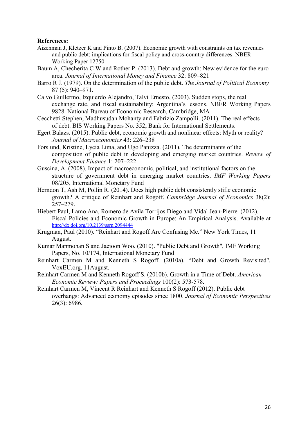# **References:**

- Aizenman J, Kletzer K and Pinto B. (2007). Economic growth with constraints on tax revenues and public debt: implications for fiscal policy and cross-country differences. NBER Working Paper 12750
- Baum A, Checherita C W and Rother P. (2013). Debt and growth: New evidence for the euro area. *Journal of International Money and Finance* 32: 809–821
- Barro R J. (1979). On the determination of the public debt. *The Journal of Political Economy* 87 (5): 940–971.
- Calvo Guillermo, Izquierdo Alejandro, Talvi Ernesto, (2003). Sudden stops, the real exchange rate, and fiscal sustainability: Argentina's lessons. NBER Working Papers 9828. National Bureau of Economic Research, Cambridge, MA
- Cecchetti Stephen, Madhusudan Mohanty and Fabrizio Zampolli. (2011). The real effects of debt. BIS Working Papers No. 352, Bank for International Settlements.
- Egert Balazs. (2015). Public debt, economic growth and nonlinear effects: Myth or reality? *Journal of Macroeconomics* 43: 226–238
- Forslund, Kristine, Lycia Lima, and Ugo Panizza. (2011). The determinants of the composition of public debt in developing and emerging market countries. *Review of Development Finance* 1: 207–222
- Guscina, A. (2008). Impact of macroeconomic, political, and institutional factors on the structure of government debt in emerging market countries. *IMF Working Papers* 08/205, International Monetary Fund
- Herndon T, Ash M, Pollin R. (2014). Does high public debt consistently stifle economic growth? A critique of Reinhart and Rogoff. *Cambridge Journal of Economics* 38(2): 257–279.
- Hiebert Paul, Lamo Ana, Romero de Avila Torrijos Diego and Vidal Jean-Pierre. (2012). Fiscal Policies and Economic Growth in Europe: An Empirical Analysis. Available at <http://dx.doi.org/10.2139/ssrn.2094444>
- Krugman, Paul (2010). "Reinhart and Rogoff Are Confusing Me." New York Times, 11 August.
- Kumar Manmohan S and Jaejoon Woo. (2010). "Public Debt and Growth", IMF Working Papers, No. 10/174, International Monetary Fund
- Reinhart Carmen M and Kenneth S Rogoff. (2010a). "Debt and Growth Revisited", VoxEU.org, 11August.
- Reinhart Carmen M and Kenneth Rogoff S. (2010b). Growth in a Time of Debt. *American Economic Review: Papers and Proceedings* 100(2): 573-578.
- Reinhart Carmen M, Vincent R Reinhart and Kenneth S Rogoff (2012). Public debt overhangs: Advanced economy episodes since 1800. *Journal of Economic Perspectives* 26(3): 6986.